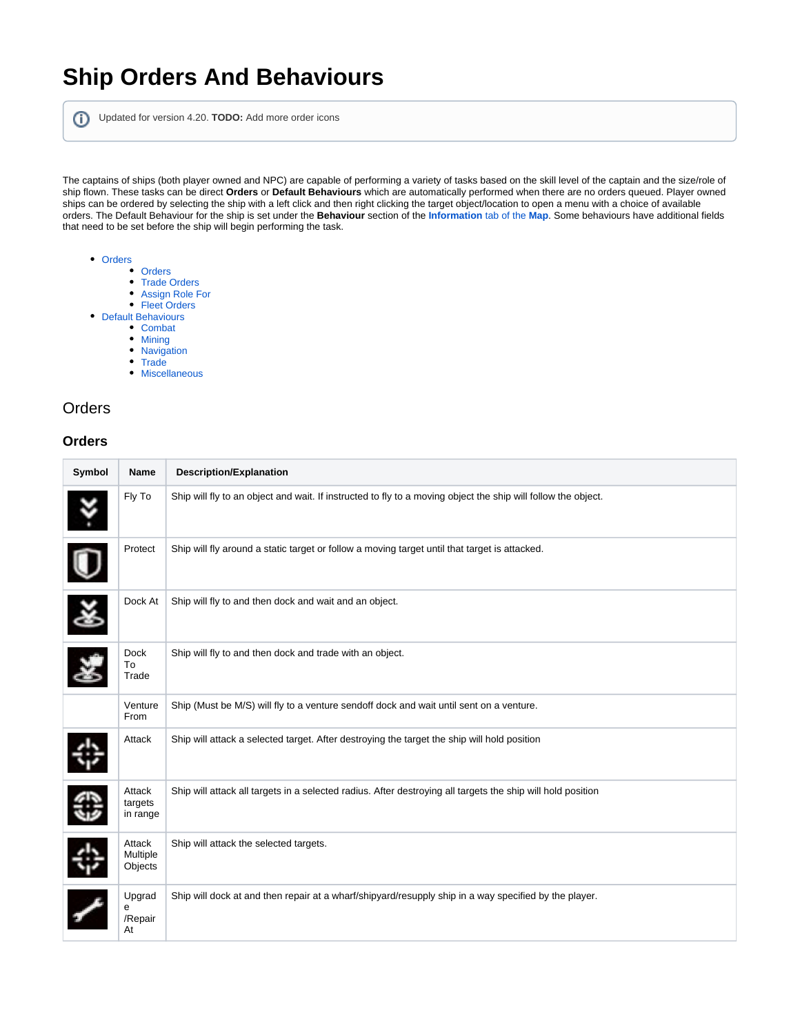# **Ship Orders And Behaviours**

Updated for version 4.20. **TODO:** Add more order icons

The captains of ships (both player owned and NPC) are capable of performing a variety of tasks based on the skill level of the captain and the size/role of ship flown. These tasks can be direct **Orders** or **Default Behaviours** which are automatically performed when there are no orders queued. Player owned ships can be ordered by selecting the ship with a left click and then right clicking the target object/location to open a menu with a choice of available orders. The Default Behaviour for the ship is set under the **Behaviour** section of the **[Information](https://www.egosoft.com:8444/confluence/display/X4WIKI/The+X-Universe+And+Map)** tab of the **Map**. Some behaviours have additional fields that need to be set before the ship will begin performing the task.

- [Orders](#page-0-0)
	- [Orders](#page-0-1)
		- [Trade Orders](#page-1-0)
		- [Assign Role For](#page-1-1) • [Fleet Orders](#page-1-2)
- [Default Behaviours](#page-2-0)
	- [Combat](#page-2-1)
	- [Mining](#page-2-2)
	- [Navigation](#page-2-3)
	- [Trade](#page-3-0)
	- [Miscellaneous](#page-3-1)

### <span id="page-0-0"></span>**Orders**

#### <span id="page-0-1"></span>**Orders**

| Symbol | Name                          | <b>Description/Explanation</b>                                                                                |
|--------|-------------------------------|---------------------------------------------------------------------------------------------------------------|
| Ÿ      | Fly To                        | Ship will fly to an object and wait. If instructed to fly to a moving object the ship will follow the object. |
|        | Protect                       | Ship will fly around a static target or follow a moving target until that target is attacked.                 |
| š      | Dock At                       | Ship will fly to and then dock and wait and an object.                                                        |
|        | <b>Dock</b><br>To<br>Trade    | Ship will fly to and then dock and trade with an object.                                                      |
|        | Venture<br>From               | Ship (Must be M/S) will fly to a venture sendoff dock and wait until sent on a venture.                       |
|        | Attack                        | Ship will attack a selected target. After destroying the target the ship will hold position                   |
|        | Attack<br>targets<br>in range | Ship will attack all targets in a selected radius. After destroying all targets the ship will hold position   |
|        | Attack<br>Multiple<br>Objects | Ship will attack the selected targets.                                                                        |
|        | Upgrad<br>е<br>/Repair<br>At  | Ship will dock at and then repair at a wharf/shipyard/resupply ship in a way specified by the player.         |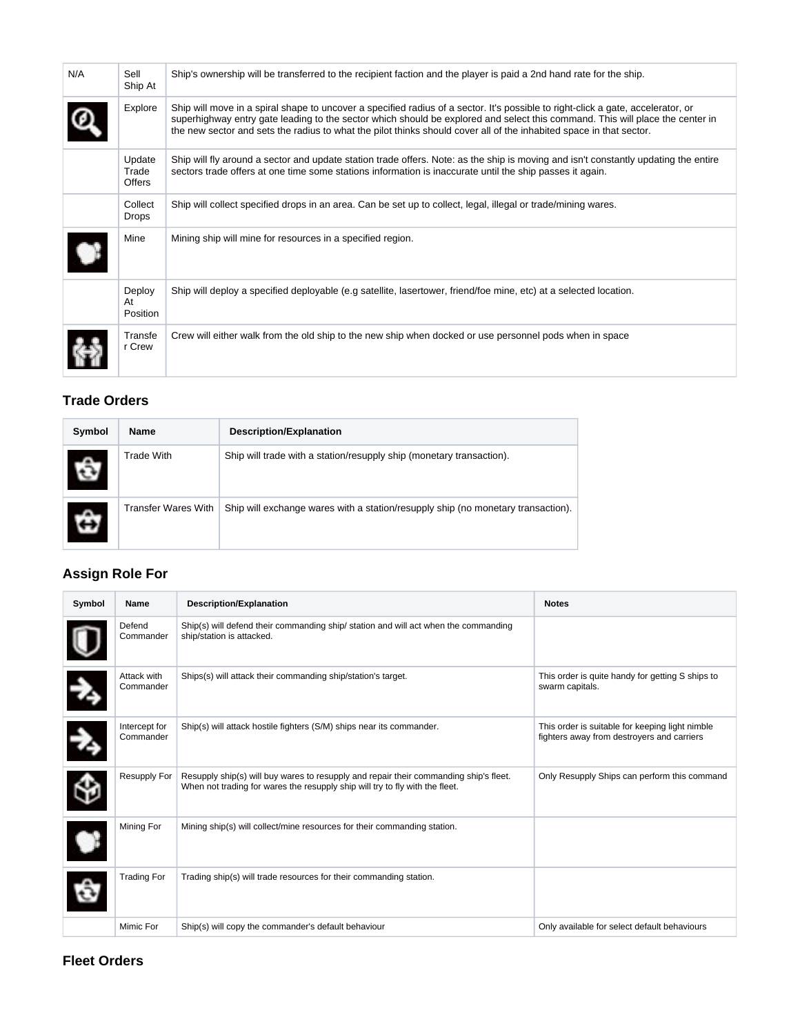| N/A | Sell<br>Ship At                  | Ship's ownership will be transferred to the recipient faction and the player is paid a 2nd hand rate for the ship.                                                                                                                                                                                                                                                                       |
|-----|----------------------------------|------------------------------------------------------------------------------------------------------------------------------------------------------------------------------------------------------------------------------------------------------------------------------------------------------------------------------------------------------------------------------------------|
|     | Explore                          | Ship will move in a spiral shape to uncover a specified radius of a sector. It's possible to right-click a gate, accelerator, or<br>superhighway entry gate leading to the sector which should be explored and select this command. This will place the center in<br>the new sector and sets the radius to what the pilot thinks should cover all of the inhabited space in that sector. |
|     | Update<br>Trade<br><b>Offers</b> | Ship will fly around a sector and update station trade offers. Note: as the ship is moving and isn't constantly updating the entire<br>sectors trade offers at one time some stations information is inaccurate until the ship passes it again.                                                                                                                                          |
|     | Collect<br><b>Drops</b>          | Ship will collect specified drops in an area. Can be set up to collect, legal, illegal or trade/mining wares.                                                                                                                                                                                                                                                                            |
|     | Mine                             | Mining ship will mine for resources in a specified region.                                                                                                                                                                                                                                                                                                                               |
|     | Deploy<br>At<br>Position         | Ship will deploy a specified deployable (e.g satellite, lasertower, friend/foe mine, etc) at a selected location.                                                                                                                                                                                                                                                                        |
|     | Transfe<br>r Crew                | Crew will either walk from the old ship to the new ship when docked or use personnel pods when in space                                                                                                                                                                                                                                                                                  |

### <span id="page-1-0"></span>**Trade Orders**

| Symbol | <b>Name</b>         | <b>Description/Explanation</b>                                                   |
|--------|---------------------|----------------------------------------------------------------------------------|
|        | <b>Trade With</b>   | Ship will trade with a station/resupply ship (monetary transaction).             |
|        | Transfer Wares With | Ship will exchange wares with a station/resupply ship (no monetary transaction). |

### <span id="page-1-1"></span>**Assign Role For**

| Symbol            | Name                       | <b>Description/Explanation</b>                                                                                                                                        | <b>Notes</b>                                                                                  |
|-------------------|----------------------------|-----------------------------------------------------------------------------------------------------------------------------------------------------------------------|-----------------------------------------------------------------------------------------------|
|                   | Defend<br>Commander        | Ship(s) will defend their commanding ship/ station and will act when the commanding<br>ship/station is attacked.                                                      |                                                                                               |
| $\rightarrow$     | Attack with<br>Commander   | Ships(s) will attack their commanding ship/station's target.                                                                                                          | This order is quite handy for getting S ships to<br>swarm capitals.                           |
| $\lambda_{\rm i}$ | Intercept for<br>Commander | Ship(s) will attack hostile fighters (S/M) ships near its commander.                                                                                                  | This order is suitable for keeping light nimble<br>fighters away from destroyers and carriers |
| \$                | Resupply For               | Resupply ship(s) will buy wares to resupply and repair their commanding ship's fleet.<br>When not trading for wares the resupply ship will try to fly with the fleet. | Only Resupply Ships can perform this command                                                  |
| $\bullet$         | Mining For                 | Mining ship(s) will collect/mine resources for their commanding station.                                                                                              |                                                                                               |
| â                 | <b>Trading For</b>         | Trading ship(s) will trade resources for their commanding station.                                                                                                    |                                                                                               |
|                   | Mimic For                  | Ship(s) will copy the commander's default behaviour                                                                                                                   | Only available for select default behaviours                                                  |

#### <span id="page-1-2"></span>**Fleet Orders**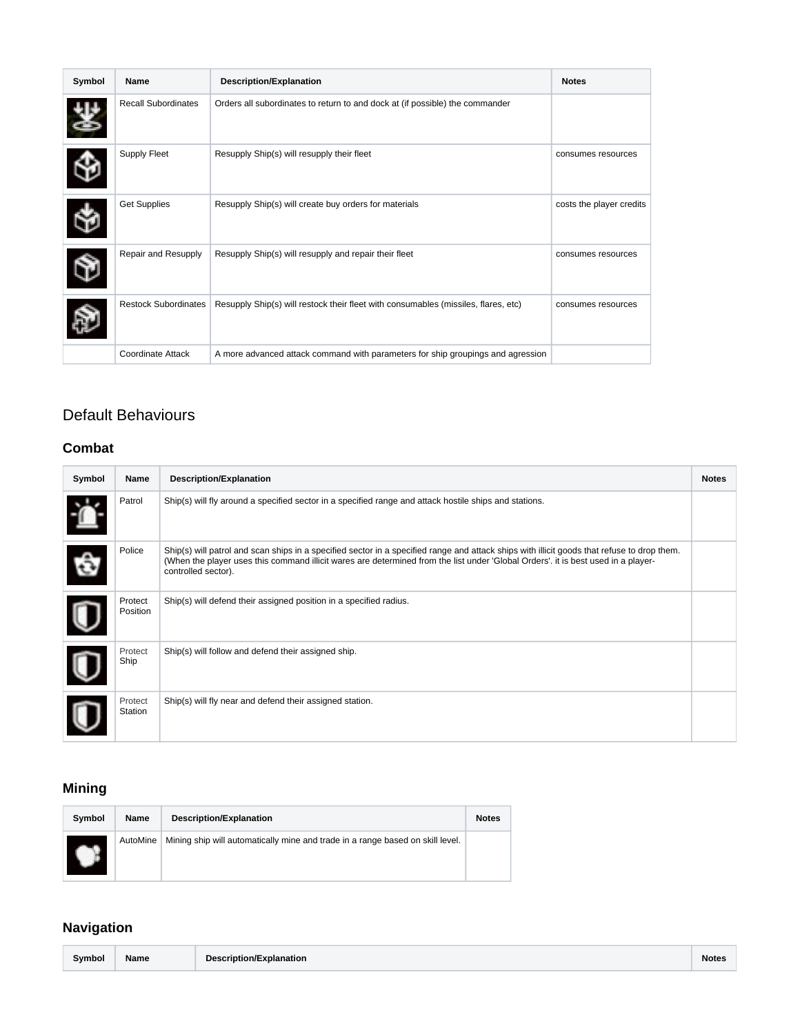| Symbol | Name                        | <b>Description/Explanation</b>                                                     | <b>Notes</b>             |
|--------|-----------------------------|------------------------------------------------------------------------------------|--------------------------|
|        | <b>Recall Subordinates</b>  | Orders all subordinates to return to and dock at (if possible) the commander       |                          |
|        | Supply Fleet                | Resupply Ship(s) will resupply their fleet                                         | consumes resources       |
|        | <b>Get Supplies</b>         | Resupply Ship(s) will create buy orders for materials                              | costs the player credits |
|        | Repair and Resupply         | Resupply Ship(s) will resupply and repair their fleet                              | consumes resources       |
|        | <b>Restock Subordinates</b> | Resupply Ship(s) will restock their fleet with consumables (missiles, flares, etc) | consumes resources       |
|        | Coordinate Attack           | A more advanced attack command with parameters for ship groupings and agression    |                          |

### <span id="page-2-0"></span>Default Behaviours

### <span id="page-2-1"></span>**Combat**

| Symbol | Name                | <b>Description/Explanation</b>                                                                                                                                                                                                                                                                          | <b>Notes</b> |
|--------|---------------------|---------------------------------------------------------------------------------------------------------------------------------------------------------------------------------------------------------------------------------------------------------------------------------------------------------|--------------|
|        | Patrol              | Ship(s) will fly around a specified sector in a specified range and attack hostile ships and stations.                                                                                                                                                                                                  |              |
|        | Police              | Ship(s) will patrol and scan ships in a specified sector in a specified range and attack ships with illicit goods that refuse to drop them.<br>(When the player uses this command illicit wares are determined from the list under 'Global Orders'. it is best used in a player-<br>controlled sector). |              |
|        | Protect<br>Position | Ship(s) will defend their assigned position in a specified radius.                                                                                                                                                                                                                                      |              |
|        | Protect<br>Ship     | Ship(s) will follow and defend their assigned ship.                                                                                                                                                                                                                                                     |              |
|        | Protect<br>Station  | Ship(s) will fly near and defend their assigned station.                                                                                                                                                                                                                                                |              |

## <span id="page-2-2"></span>**Mining**

| Symbol | Name     | Description/Explanation                                                        | <b>Notes</b> |
|--------|----------|--------------------------------------------------------------------------------|--------------|
|        | AutoMine | Mining ship will automatically mine and trade in a range based on skill level. |              |

### <span id="page-2-3"></span>**Navigation**

| Symbol<br>Name<br>Description/Explanation | Note: |
|-------------------------------------------|-------|
|-------------------------------------------|-------|